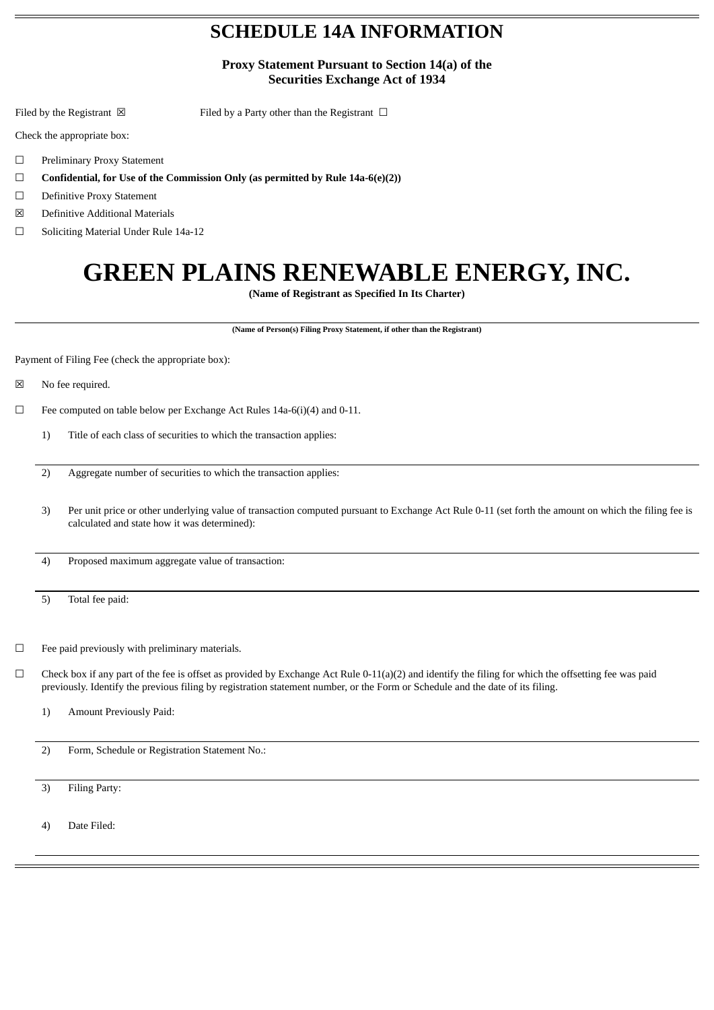## **SCHEDULE 14A INFORMATION**

**Proxy Statement Pursuant to Section 14(a) of the Securities Exchange Act of 1934**

Filed by the Registrant  $\boxtimes$  Filed by a Party other than the Registrant  $\Box$ 

Check the appropriate box:

- ☐ Preliminary Proxy Statement
- ☐ **Confidential, for Use of the Commission Only (as permitted by Rule 14a-6(e)(2))**
- ☐ Definitive Proxy Statement
- ☒ Definitive Additional Materials
- ☐ Soliciting Material Under Rule 14a-12

## **GREEN PLAINS RENEWABLE ENERGY, INC.**

**(Name of Registrant as Specified In Its Charter)**

**(Name of Person(s) Filing Proxy Statement, if other than the Registrant)**

Payment of Filing Fee (check the appropriate box):

☒ No fee required.

 $\Box$  Fee computed on table below per Exchange Act Rules 14a-6(i)(4) and 0-11.

- 1) Title of each class of securities to which the transaction applies:
- 2) Aggregate number of securities to which the transaction applies:
- 3) Per unit price or other underlying value of transaction computed pursuant to Exchange Act Rule 0-11 (set forth the amount on which the filing fee is calculated and state how it was determined):

4) Proposed maximum aggregate value of transaction:

5) Total fee paid:

☐ Fee paid previously with preliminary materials.

- $\Box$  Check box if any part of the fee is offset as provided by Exchange Act Rule 0-11(a)(2) and identify the filing for which the offsetting fee was paid previously. Identify the previous filing by registration statement number, or the Form or Schedule and the date of its filing.
	- 1) Amount Previously Paid:
	- 2) Form, Schedule or Registration Statement No.:

3) Filing Party:

4) Date Filed: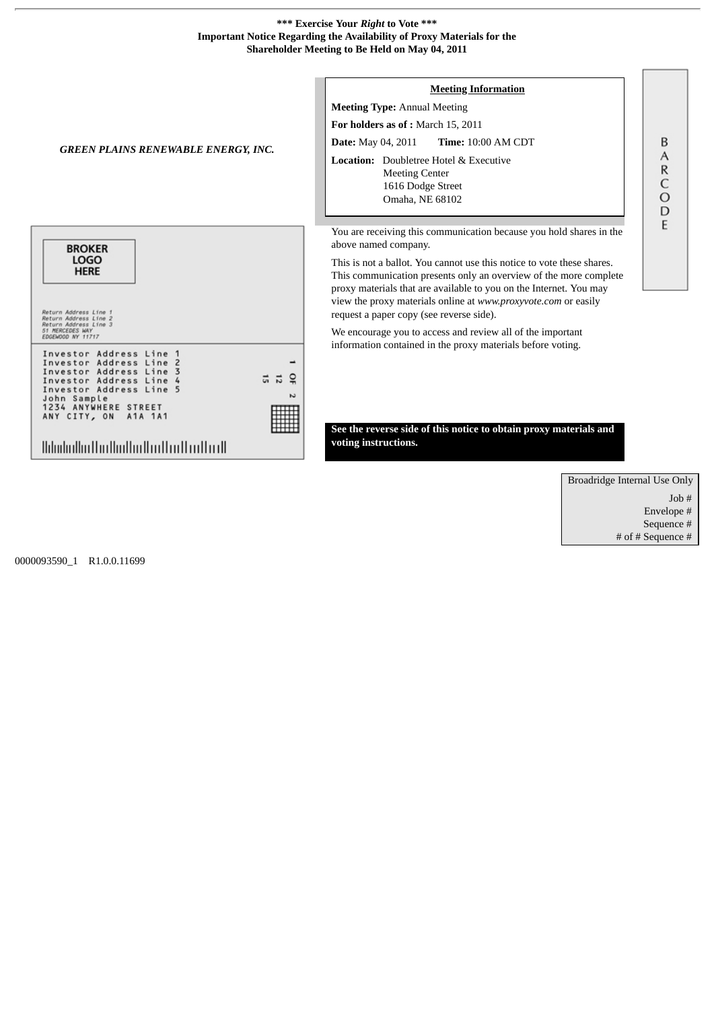## **\*\*\* Exercise Your** *Right* **to Vote \*\*\* Important Notice Regarding the Availability of Proxy Materials for the Shareholder Meeting to Be Held on May 04, 2011**



Broadridge Internal Use Only Job # Envelope # Sequence # # of # Sequence #

B A  $\mathsf R$ C  $\circ$ D E

0000093590\_1 R1.0.0.11699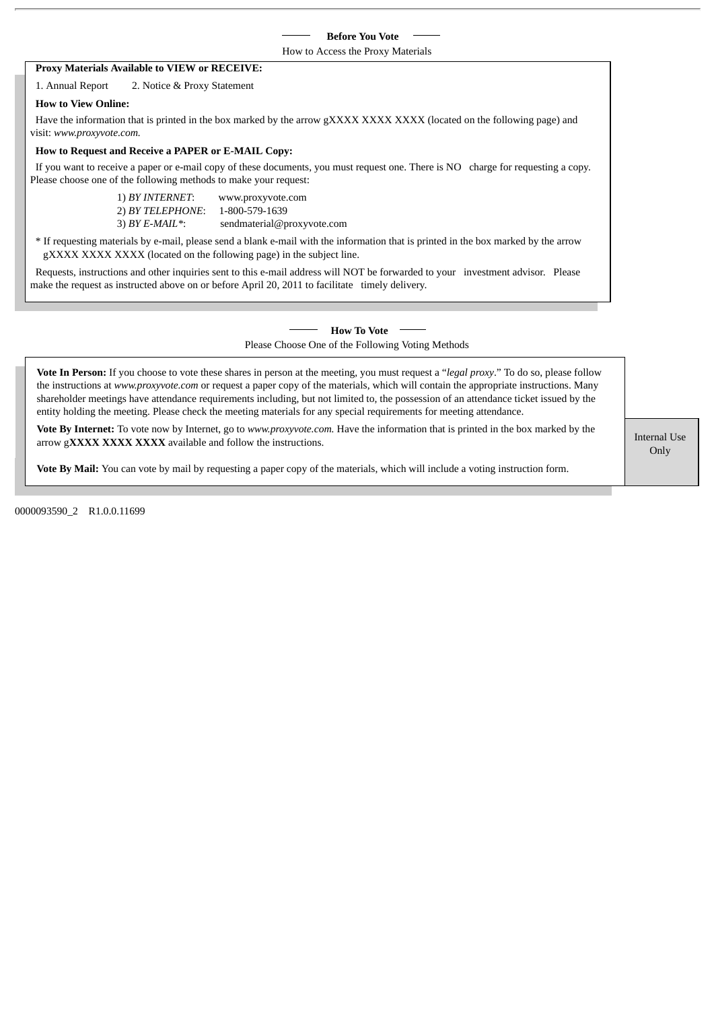|                                                                  |                                                       | <b>Before You Vote</b>                                                                                                                                                                                                             |
|------------------------------------------------------------------|-------------------------------------------------------|------------------------------------------------------------------------------------------------------------------------------------------------------------------------------------------------------------------------------------|
|                                                                  |                                                       | How to Access the Proxy Materials                                                                                                                                                                                                  |
| Proxy Materials Available to VIEW or RECEIVE:                    |                                                       |                                                                                                                                                                                                                                    |
| 1. Annual Report                                                 | 2. Notice & Proxy Statement                           |                                                                                                                                                                                                                                    |
| <b>How to View Online:</b>                                       |                                                       |                                                                                                                                                                                                                                    |
| visit: www.proxyvote.com.                                        |                                                       | Have the information that is printed in the box marked by the arrow gXXXX XXXX XXXX (located on the following page) and                                                                                                            |
| How to Request and Receive a PAPER or E-MAIL Copy:               |                                                       |                                                                                                                                                                                                                                    |
| Please choose one of the following methods to make your request: |                                                       | If you want to receive a paper or e-mail copy of these documents, you must request one. There is NO charge for requesting a copy.                                                                                                  |
|                                                                  | 1) BY INTERNET:<br>2) BY TELEPHONE:<br>3) BY E-MAIL*: | www.proxyvote.com<br>1-800-579-1639<br>sendmaterial@proxyvote.com                                                                                                                                                                  |
|                                                                  |                                                       | * If requesting materials by e-mail, please send a blank e-mail with the information that is printed in the box marked by the arrow<br>gXXXX XXXX XXXX (located on the following page) in the subject line.                        |
|                                                                  |                                                       | Requests, instructions and other inquiries sent to this e-mail address will NOT be forwarded to your investment advisor. Please<br>make the request as instructed above on or before April 20, 2011 to facilitate timely delivery. |
|                                                                  |                                                       | <b>How To Vote</b>                                                                                                                                                                                                                 |
|                                                                  |                                                       | Please Choose One of the Following Voting Methods                                                                                                                                                                                  |

**Vote By Internet:** To vote now by Internet, go to *www.proxyvote.com.* Have the information that is printed in the box marked by the arrow g**XXXX XXXX XXXX** available and follow the instructions.

Only **Internal Use** 

**Vote By Mail:** You can vote by mail by requesting a paper copy of the materials, which will include a voting instruction form.

entity holding the meeting. Please check the meeting materials for any special requirements for meeting attendance.

0000093590\_2 R1.0.0.11699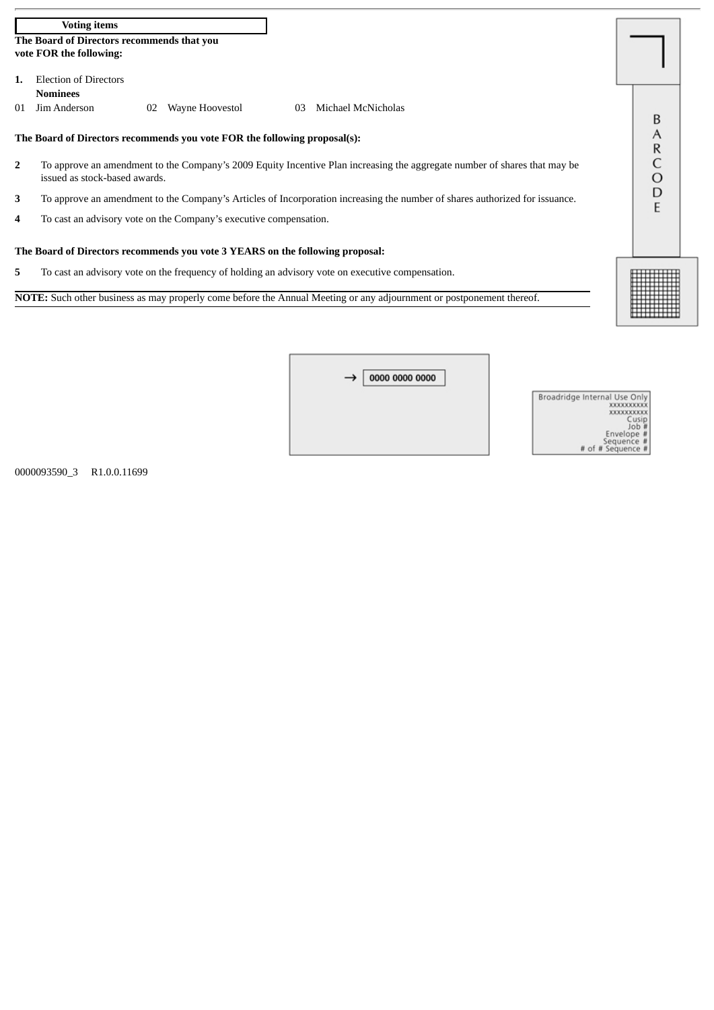|                                                                               | <b>Voting items</b>                                                                                                         |   |  |  |  |  |
|-------------------------------------------------------------------------------|-----------------------------------------------------------------------------------------------------------------------------|---|--|--|--|--|
|                                                                               | The Board of Directors recommends that you                                                                                  |   |  |  |  |  |
|                                                                               | vote FOR the following:                                                                                                     |   |  |  |  |  |
|                                                                               | <b>Election of Directors</b>                                                                                                |   |  |  |  |  |
|                                                                               | <b>Nominees</b>                                                                                                             |   |  |  |  |  |
| 01                                                                            | Jim Anderson<br>Michael McNicholas<br>Wayne Hoovestol<br>02<br>03                                                           |   |  |  |  |  |
|                                                                               |                                                                                                                             | В |  |  |  |  |
|                                                                               | The Board of Directors recommends you vote FOR the following proposal(s):                                                   | Α |  |  |  |  |
|                                                                               |                                                                                                                             | R |  |  |  |  |
| $\overline{2}$                                                                | To approve an amendment to the Company's 2009 Equity Incentive Plan increasing the aggregate number of shares that may be   |   |  |  |  |  |
|                                                                               | issued as stock-based awards.                                                                                               | Ο |  |  |  |  |
| 3                                                                             | To approve an amendment to the Company's Articles of Incorporation increasing the number of shares authorized for issuance. | D |  |  |  |  |
|                                                                               |                                                                                                                             |   |  |  |  |  |
| 4                                                                             | To cast an advisory vote on the Company's executive compensation.                                                           |   |  |  |  |  |
|                                                                               |                                                                                                                             |   |  |  |  |  |
| The Board of Directors recommends you vote 3 YEARS on the following proposal: |                                                                                                                             |   |  |  |  |  |
|                                                                               |                                                                                                                             |   |  |  |  |  |
| 5.                                                                            | To cast an advisory vote on the frequency of holding an advisory vote on executive compensation.                            |   |  |  |  |  |

**NOTE:** Such other business as may properly come before the Annual Meeting or any adjournment or postponement thereof.

 $\overline{a}$ 

| 0000 0000 0000<br>$\rightarrow$ 1 |  |
|-----------------------------------|--|
|                                   |  |
|                                   |  |

| Broadridge Internal Use Only |
|------------------------------|
| <b>XXXXXXXXXX</b>            |
| <b>XXXXXXXXXXX</b>           |
| Cusio                        |
|                              |
| Envelope #                   |
| Sequence #                   |
| of # Sequence #              |

0000093590\_3 R1.0.0.11699